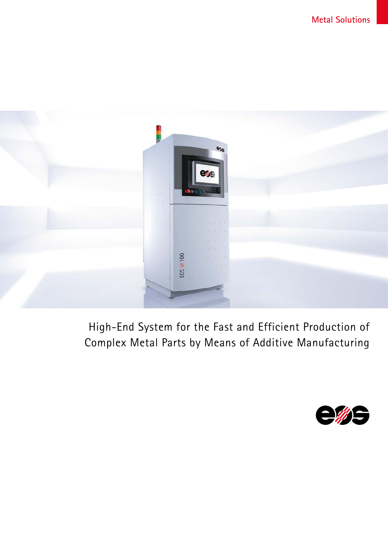

# High-End System for the Fast and Efficient Production of Complex Metal Parts by Means of Additive Manufacturing